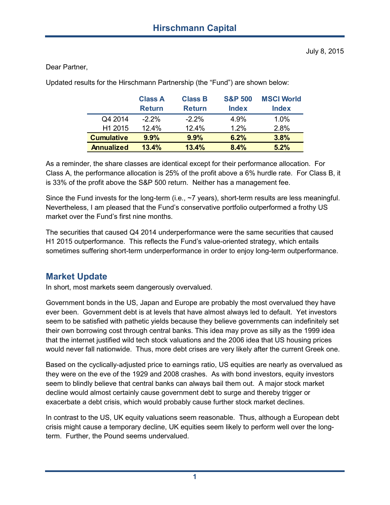#### Dear Partner,

Updated results for the Hirschmann Partnership (the "Fund") are shown below:

|                     | <b>Class A</b> | <b>Class B</b> | <b>S&amp;P 500</b> | <b>MSCI World</b> |
|---------------------|----------------|----------------|--------------------|-------------------|
|                     | <b>Return</b>  | <b>Return</b>  | <b>Index</b>       | <b>Index</b>      |
| Q4 2014             | $-2.2\%$       | $-2.2%$        | 4.9%               | 1.0%              |
| H <sub>1</sub> 2015 | $12.4\%$       | 12.4%          | 1 2%               | 2.8%              |
| <b>Cumulative</b>   | 9.9%           | 9.9%           | 6.2%               | 3.8%              |
| <b>Annualized</b>   | 13.4%          | 13.4%          | 8.4%               | 5.2%              |

As a reminder, the share classes are identical except for their performance allocation. For Class A, the performance allocation is 25% of the profit above a 6% hurdle rate. For Class B, it is 33% of the profit above the S&P 500 return. Neither has a management fee.

Since the Fund invests for the long-term (i.e., ~7 years), short-term results are less meaningful. Nevertheless, I am pleased that the Fund's conservative portfolio outperformed a frothy US market over the Fund's first nine months.

The securities that caused Q4 2014 underperformance were the same securities that caused H1 2015 outperformance. This reflects the Fund's value-oriented strategy, which entails sometimes suffering short-term underperformance in order to enjoy long-term outperformance.

# **Market Update**

In short, most markets seem dangerously overvalued.

Government bonds in the US, Japan and Europe are probably the most overvalued they have ever been. Government debt is at levels that have almost always led to default. Yet investors seem to be satisfied with pathetic yields because they believe governments can indefinitely set their own borrowing cost through central banks. This idea may prove as silly as the 1999 idea that the internet justified wild tech stock valuations and the 2006 idea that US housing prices would never fall nationwide. Thus, more debt crises are very likely after the current Greek one.

Based on the cyclically-adjusted price to earnings ratio, US equities are nearly as overvalued as they were on the eve of the 1929 and 2008 crashes. As with bond investors, equity investors seem to blindly believe that central banks can always bail them out. A major stock market decline would almost certainly cause government debt to surge and thereby trigger or exacerbate a debt crisis, which would probably cause further stock market declines.

In contrast to the US, UK equity valuations seem reasonable. Thus, although a European debt crisis might cause a temporary decline, UK equities seem likely to perform well over the longterm. Further, the Pound seems undervalued.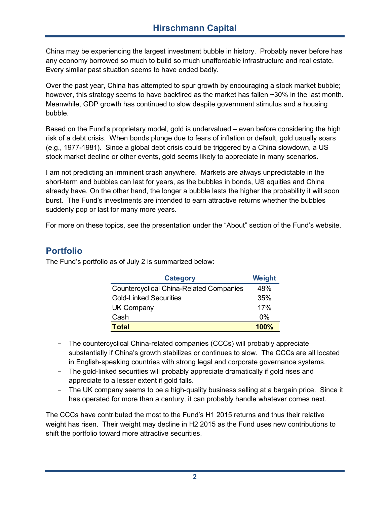China may be experiencing the largest investment bubble in history. Probably never before has any economy borrowed so much to build so much unaffordable infrastructure and real estate. Every similar past situation seems to have ended badly.

Over the past year, China has attempted to spur growth by encouraging a stock market bubble; however, this strategy seems to have backfired as the market has fallen ~30% in the last month. Meanwhile, GDP growth has continued to slow despite government stimulus and a housing bubble.

Based on the Fund's proprietary model, gold is undervalued – even before considering the high risk of a debt crisis. When bonds plunge due to fears of inflation or default, gold usually soars (e.g., 1977-1981). Since a global debt crisis could be triggered by a China slowdown, a US stock market decline or other events, gold seems likely to appreciate in many scenarios.

I am not predicting an imminent crash anywhere. Markets are always unpredictable in the short-term and bubbles can last for years, as the bubbles in bonds, US equities and China already have. On the other hand, the longer a bubble lasts the higher the probability it will soon burst. The Fund's investments are intended to earn attractive returns whether the bubbles suddenly pop or last for many more years.

For more on these topics, see the presentation under the "About" section of the Fund's website.

## **Portfolio**

The Fund's portfolio as of July 2 is summarized below:

| <b>Category</b>                                | Weight |
|------------------------------------------------|--------|
| <b>Countercyclical China-Related Companies</b> | 48%    |
| Gold-Linked Securities                         | 35%    |
| UK Company                                     | 17%    |
| Cash                                           | 0%     |
| <b>Total</b>                                   | 100%   |

- The countercyclical China-related companies (CCCs) will probably appreciate substantially if China's growth stabilizes or continues to slow. The CCCs are all located in English-speaking countries with strong legal and corporate governance systems.
- The gold-linked securities will probably appreciate dramatically if gold rises and appreciate to a lesser extent if gold falls.
- The UK company seems to be a high-quality business selling at a bargain price. Since it has operated for more than a century, it can probably handle whatever comes next.

The CCCs have contributed the most to the Fund's H1 2015 returns and thus their relative weight has risen. Their weight may decline in H2 2015 as the Fund uses new contributions to shift the portfolio toward more attractive securities.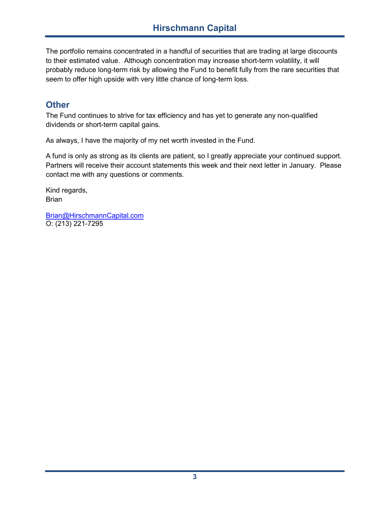The portfolio remains concentrated in a handful of securities that are trading at large discounts to their estimated value. Although concentration may increase short-term volatility, it will probably reduce long-term risk by allowing the Fund to benefit fully from the rare securities that seem to offer high upside with very little chance of long-term loss.

## **Other**

The Fund continues to strive for tax efficiency and has yet to generate any non-qualified dividends or short-term capital gains.

As always, I have the majority of my net worth invested in the Fund.

A fund is only as strong as its clients are patient, so I greatly appreciate your continued support. Partners will receive their account statements this week and their next letter in January. Please contact me with any questions or comments.

Kind regards, Brian

Brian@HirschmannCapital.com O: (213) 221-7295